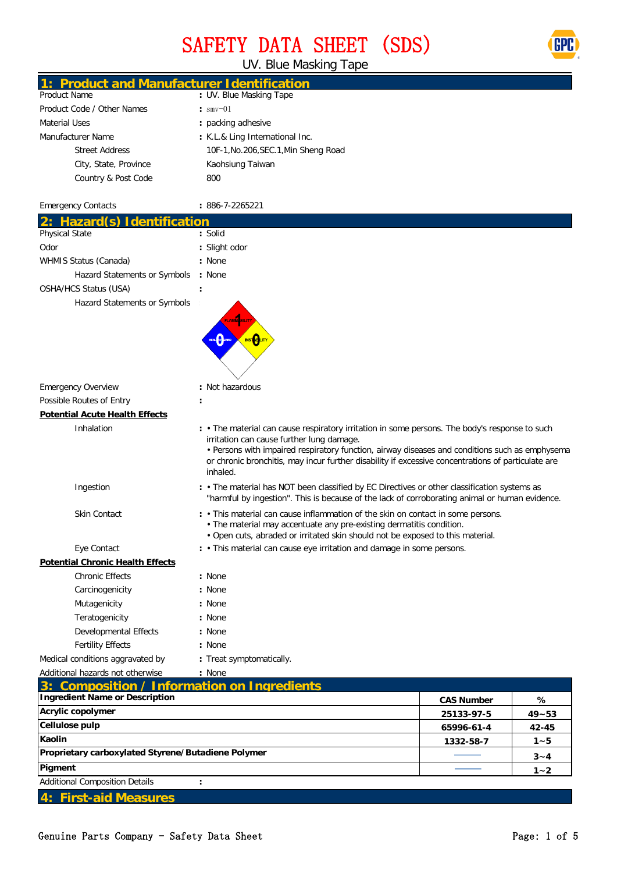### SAFETY DATA SHEET (SDS)



UV. Blue Masking Tape

| 1: Product and Manufacturer Identification         |                                                                                                                                                                                                                                                                                                                                                                 |                   |           |  |  |
|----------------------------------------------------|-----------------------------------------------------------------------------------------------------------------------------------------------------------------------------------------------------------------------------------------------------------------------------------------------------------------------------------------------------------------|-------------------|-----------|--|--|
| <b>Product Name</b>                                | : UV. Blue Masking Tape                                                                                                                                                                                                                                                                                                                                         |                   |           |  |  |
| Product Code / Other Names                         | $:$ smv-01                                                                                                                                                                                                                                                                                                                                                      |                   |           |  |  |
| <b>Material Uses</b>                               | : packing adhesive                                                                                                                                                                                                                                                                                                                                              |                   |           |  |  |
| Manufacturer Name                                  | : K.L.& Ling International Inc.                                                                                                                                                                                                                                                                                                                                 |                   |           |  |  |
| <b>Street Address</b>                              | 10F-1, No.206, SEC.1, Min Sheng Road                                                                                                                                                                                                                                                                                                                            |                   |           |  |  |
| City, State, Province                              | Kaohsiung Taiwan                                                                                                                                                                                                                                                                                                                                                |                   |           |  |  |
| Country & Post Code                                | 800                                                                                                                                                                                                                                                                                                                                                             |                   |           |  |  |
| <b>Emergency Contacts</b>                          | $: 886 - 7 - 2265221$                                                                                                                                                                                                                                                                                                                                           |                   |           |  |  |
| 2: Hazard(s) Identification                        |                                                                                                                                                                                                                                                                                                                                                                 |                   |           |  |  |
| Physical State                                     | : Solid                                                                                                                                                                                                                                                                                                                                                         |                   |           |  |  |
| Odor                                               | : Slight odor                                                                                                                                                                                                                                                                                                                                                   |                   |           |  |  |
| WHMIS Status (Canada)                              | : None                                                                                                                                                                                                                                                                                                                                                          |                   |           |  |  |
| Hazard Statements or Symbols                       | : None                                                                                                                                                                                                                                                                                                                                                          |                   |           |  |  |
| OSHA/HCS Status (USA)                              |                                                                                                                                                                                                                                                                                                                                                                 |                   |           |  |  |
| Hazard Statements or Symbols                       | $\hat{\bullet}$<br><b>INSTORIT</b>                                                                                                                                                                                                                                                                                                                              |                   |           |  |  |
| <b>Emergency Overview</b>                          | : Not hazardous                                                                                                                                                                                                                                                                                                                                                 |                   |           |  |  |
| Possible Routes of Entry                           |                                                                                                                                                                                                                                                                                                                                                                 |                   |           |  |  |
| <b>Potential Acute Health Effects</b>              |                                                                                                                                                                                                                                                                                                                                                                 |                   |           |  |  |
| Inhalation                                         | : • The material can cause respiratory irritation in some persons. The body's response to such<br>irritation can cause further lung damage.<br>• Persons with impaired respiratory function, airway diseases and conditions such as emphysema<br>or chronic bronchitis, may incur further disability if excessive concentrations of particulate are<br>inhaled. |                   |           |  |  |
| Ingestion                                          | : • The material has NOT been classified by EC Directives or other classification systems as<br>"harmful by ingestion". This is because of the lack of corroborating animal or human evidence.                                                                                                                                                                  |                   |           |  |  |
| <b>Skin Contact</b>                                | : • This material can cause inflammation of the skin on contact in some persons.<br>• The material may accentuate any pre-existing dermatitis condition.<br>. Open cuts, abraded or irritated skin should not be exposed to this material.                                                                                                                      |                   |           |  |  |
| Eye Contact                                        | : . This material can cause eye irritation and damage in some persons.                                                                                                                                                                                                                                                                                          |                   |           |  |  |
| <b>Potential Chronic Health Effects</b>            |                                                                                                                                                                                                                                                                                                                                                                 |                   |           |  |  |
| <b>Chronic Effects</b>                             | : None                                                                                                                                                                                                                                                                                                                                                          |                   |           |  |  |
| Carcinogenicity                                    | : None                                                                                                                                                                                                                                                                                                                                                          |                   |           |  |  |
| Mutagenicity                                       | : None                                                                                                                                                                                                                                                                                                                                                          |                   |           |  |  |
| Teratogenicity                                     | : None                                                                                                                                                                                                                                                                                                                                                          |                   |           |  |  |
| <b>Developmental Effects</b>                       | : None                                                                                                                                                                                                                                                                                                                                                          |                   |           |  |  |
| <b>Fertility Effects</b>                           | : None                                                                                                                                                                                                                                                                                                                                                          |                   |           |  |  |
| Medical conditions aggravated by                   | : Treat symptomatically.                                                                                                                                                                                                                                                                                                                                        |                   |           |  |  |
| Additional hazards not otherwise                   | : None                                                                                                                                                                                                                                                                                                                                                          |                   |           |  |  |
| <b>Composition / Information on Ingredients</b>    |                                                                                                                                                                                                                                                                                                                                                                 |                   |           |  |  |
| <b>Ingredient Name or Description</b>              |                                                                                                                                                                                                                                                                                                                                                                 | <b>CAS Number</b> | %         |  |  |
| Acrylic copolymer                                  |                                                                                                                                                                                                                                                                                                                                                                 | 25133-97-5        | $49 - 53$ |  |  |
| Cellulose pulp                                     |                                                                                                                                                                                                                                                                                                                                                                 | 65996-61-4        | 42-45     |  |  |
| Kaolin                                             |                                                                                                                                                                                                                                                                                                                                                                 | 1332-58-7         | $1 - 5$   |  |  |
| Proprietary carboxylated Styrene/Butadiene Polymer |                                                                                                                                                                                                                                                                                                                                                                 |                   | $3 - 4$   |  |  |
| Pigment                                            |                                                                                                                                                                                                                                                                                                                                                                 |                   | $1 - 2$   |  |  |
| <b>Additional Composition Details</b>              |                                                                                                                                                                                                                                                                                                                                                                 |                   |           |  |  |
| <b>First-aid Measures</b>                          |                                                                                                                                                                                                                                                                                                                                                                 |                   |           |  |  |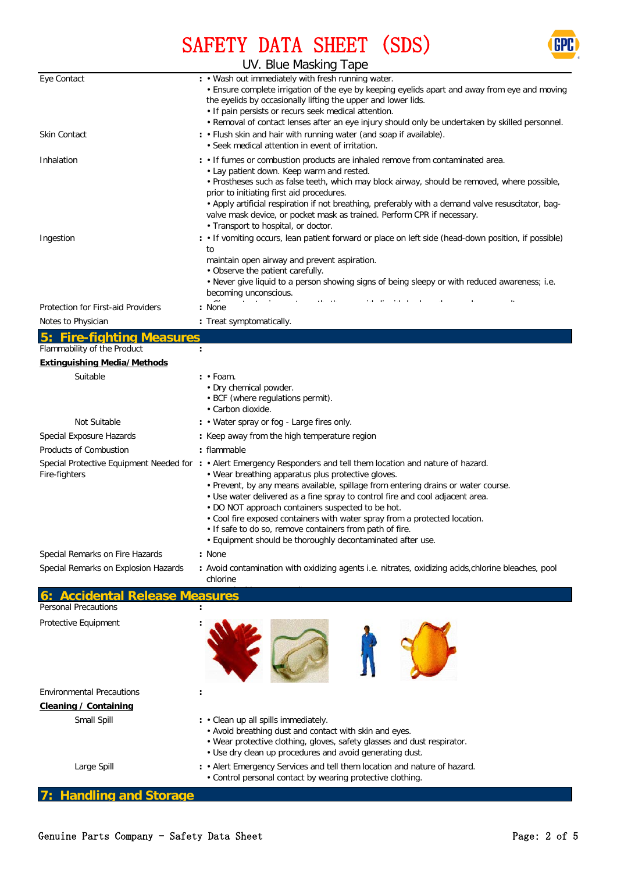

## SAFETY DATA SHEET (SDS)

|                                      | UV. Blue Masking Tape                                                                                                                                                                                                                                                                                                                                                                                                                                                                                                                                                                                        |  |  |  |  |
|--------------------------------------|--------------------------------------------------------------------------------------------------------------------------------------------------------------------------------------------------------------------------------------------------------------------------------------------------------------------------------------------------------------------------------------------------------------------------------------------------------------------------------------------------------------------------------------------------------------------------------------------------------------|--|--|--|--|
| Eye Contact                          | : . Wash out immediately with fresh running water.<br>• Ensure complete irrigation of the eye by keeping eyelids apart and away from eye and moving<br>the eyelids by occasionally lifting the upper and lower lids.<br>• If pain persists or recurs seek medical attention.<br>. Removal of contact lenses after an eye injury should only be undertaken by skilled personnel.                                                                                                                                                                                                                              |  |  |  |  |
| Skin Contact                         | : • Flush skin and hair with running water (and soap if available).<br>• Seek medical attention in event of irritation.                                                                                                                                                                                                                                                                                                                                                                                                                                                                                      |  |  |  |  |
| Inhalation                           | : . If fumes or combustion products are inhaled remove from contaminated area.<br>• Lay patient down. Keep warm and rested.<br>. Prostheses such as false teeth, which may block airway, should be removed, where possible,<br>prior to initiating first aid procedures.<br>• Apply artificial respiration if not breathing, preferably with a demand valve resuscitator, bag-<br>valve mask device, or pocket mask as trained. Perform CPR if necessary.<br>• Transport to hospital, or doctor.                                                                                                             |  |  |  |  |
| Ingestion                            | : • If vomiting occurs, lean patient forward or place on left side (head-down position, if possible)<br>to<br>maintain open airway and prevent aspiration.<br>• Observe the patient carefully.<br>. Never give liquid to a person showing signs of being sleepy or with reduced awareness; i.e.<br>becoming unconscious.                                                                                                                                                                                                                                                                                     |  |  |  |  |
| Protection for First-aid Providers   | : None                                                                                                                                                                                                                                                                                                                                                                                                                                                                                                                                                                                                       |  |  |  |  |
| Notes to Physician                   | : Treat symptomatically.                                                                                                                                                                                                                                                                                                                                                                                                                                                                                                                                                                                     |  |  |  |  |
| <b>Fire-fighting Measures</b><br>5:  |                                                                                                                                                                                                                                                                                                                                                                                                                                                                                                                                                                                                              |  |  |  |  |
| Flammability of the Product          | $\ddot{\cdot}$                                                                                                                                                                                                                                                                                                                                                                                                                                                                                                                                                                                               |  |  |  |  |
| <b>Extinguishing Media/Methods</b>   |                                                                                                                                                                                                                                                                                                                                                                                                                                                                                                                                                                                                              |  |  |  |  |
| Suitable                             | $: •$ Foam.<br>• Dry chemical powder.<br>• BCF (where regulations permit).<br>• Carbon dioxide.                                                                                                                                                                                                                                                                                                                                                                                                                                                                                                              |  |  |  |  |
| Not Suitable                         | : • Water spray or fog - Large fires only.                                                                                                                                                                                                                                                                                                                                                                                                                                                                                                                                                                   |  |  |  |  |
| Special Exposure Hazards             | : Keep away from the high temperature region                                                                                                                                                                                                                                                                                                                                                                                                                                                                                                                                                                 |  |  |  |  |
| <b>Products of Combustion</b>        | : flammable                                                                                                                                                                                                                                                                                                                                                                                                                                                                                                                                                                                                  |  |  |  |  |
| Fire-fighters                        | Special Protective Equipment Needed for : • Alert Emergency Responders and tell them location and nature of hazard.<br>• Wear breathing apparatus plus protective gloves.<br>• Prevent, by any means available, spillage from entering drains or water course.<br>• Use water delivered as a fine spray to control fire and cool adjacent area.<br>• DO NOT approach containers suspected to be hot.<br>. Cool fire exposed containers with water spray from a protected location.<br>. If safe to do so, remove containers from path of fire.<br>. Equipment should be thoroughly decontaminated after use. |  |  |  |  |
| Special Remarks on Fire Hazards      | : None                                                                                                                                                                                                                                                                                                                                                                                                                                                                                                                                                                                                       |  |  |  |  |
| Special Remarks on Explosion Hazards | : Avoid contamination with oxidizing agents i.e. nitrates, oxidizing acids, chlorine bleaches, pool<br>chlorine                                                                                                                                                                                                                                                                                                                                                                                                                                                                                              |  |  |  |  |
| <b>Accidental Release Measures</b>   |                                                                                                                                                                                                                                                                                                                                                                                                                                                                                                                                                                                                              |  |  |  |  |
| <b>Personal Precautions</b>          |                                                                                                                                                                                                                                                                                                                                                                                                                                                                                                                                                                                                              |  |  |  |  |
| Protective Equipment                 |                                                                                                                                                                                                                                                                                                                                                                                                                                                                                                                                                                                                              |  |  |  |  |
| <b>Environmental Precautions</b>     |                                                                                                                                                                                                                                                                                                                                                                                                                                                                                                                                                                                                              |  |  |  |  |
| Cleaning / Containing                |                                                                                                                                                                                                                                                                                                                                                                                                                                                                                                                                                                                                              |  |  |  |  |
| Small Spill                          | : • Clean up all spills immediately.<br>• Avoid breathing dust and contact with skin and eyes.<br>• Wear protective clothing, gloves, safety glasses and dust respirator.<br>• Use dry clean up procedures and avoid generating dust.                                                                                                                                                                                                                                                                                                                                                                        |  |  |  |  |

• Alert Emergency Services and tell them location and nature of hazard.

• Control personal contact by wearing protective clothing.

**7: Handling and Storage**

Large Spill **:**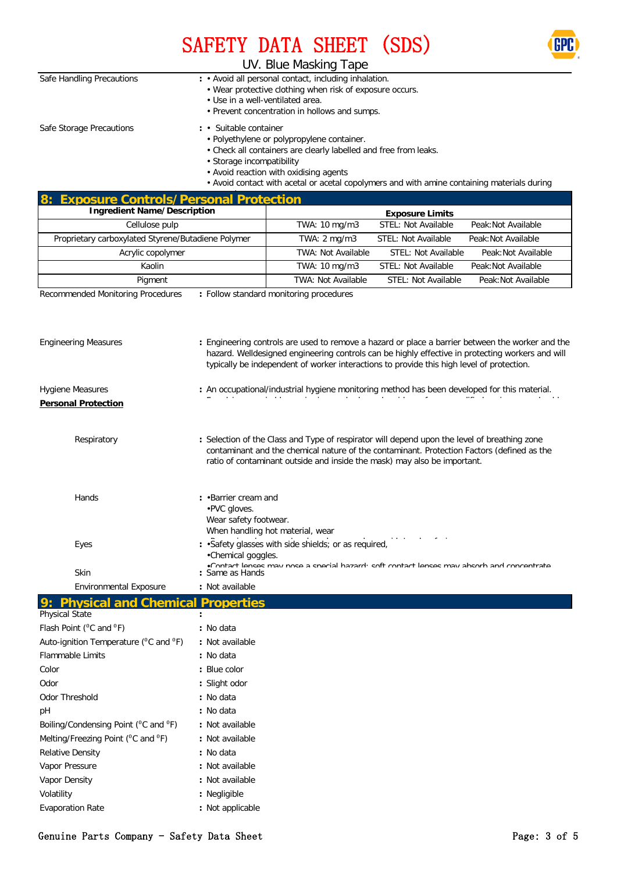



### UV. Blue Masking Tape

| Safe Handling Precautions | : • Avoid all personal contact, including inhalation.<br>• Wear protective clothing when risk of exposure occurs.<br>• Use in a well-ventilated area.<br>• Prevent concentration in hollows and sumps.                                                                                                                     |
|---------------------------|----------------------------------------------------------------------------------------------------------------------------------------------------------------------------------------------------------------------------------------------------------------------------------------------------------------------------|
| Safe Storage Precautions  | Suitable container<br>$\mathbf{r}$<br>• Polyethylene or polypropylene container.<br>• Check all containers are clearly labelled and free from leaks.<br>• Storage incompatibility<br>• Avoid reaction with oxidising agents<br>. Avoid contact with acetal or acetal copolymers and with amine containing materials during |

| <b>Exposure Controls/Personal Protection</b><br>8:            |                                                                                                              |                                                                                                                                                                                                                                                                                                   |                            |                     |  |
|---------------------------------------------------------------|--------------------------------------------------------------------------------------------------------------|---------------------------------------------------------------------------------------------------------------------------------------------------------------------------------------------------------------------------------------------------------------------------------------------------|----------------------------|---------------------|--|
| <b>Ingredient Name/Description</b>                            |                                                                                                              |                                                                                                                                                                                                                                                                                                   | <b>Exposure Limits</b>     |                     |  |
| Cellulose pulp                                                |                                                                                                              | TWA: 10 mg/m3                                                                                                                                                                                                                                                                                     | STEL: Not Available        | Peak: Not Available |  |
| Proprietary carboxylated Styrene/Butadiene Polymer            |                                                                                                              | TWA: 2 mg/m3                                                                                                                                                                                                                                                                                      | STEL: Not Available        | Peak: Not Available |  |
| Acrylic copolymer                                             |                                                                                                              | TWA: Not Available                                                                                                                                                                                                                                                                                | STEL: Not Available        | Peak: Not Available |  |
| Kaolin                                                        |                                                                                                              | TWA: 10 mg/m3                                                                                                                                                                                                                                                                                     | <b>STEL: Not Available</b> | Peak: Not Available |  |
| Pigment                                                       |                                                                                                              | <b>TWA: Not Available</b>                                                                                                                                                                                                                                                                         | <b>STEL: Not Available</b> | Peak: Not Available |  |
| Recommended Monitoring Procedures                             |                                                                                                              | : Follow standard monitoring procedures                                                                                                                                                                                                                                                           |                            |                     |  |
| <b>Engineering Measures</b>                                   |                                                                                                              | : Engineering controls are used to remove a hazard or place a barrier between the worker and the<br>hazard. Welldesigned engineering controls can be highly effective in protecting workers and will<br>typically be independent of worker interactions to provide this high level of protection. |                            |                     |  |
| Hygiene Measures                                              |                                                                                                              | : An occupational/industrial hygiene monitoring method has been developed for this material.                                                                                                                                                                                                      |                            |                     |  |
| <b>Personal Protection</b>                                    |                                                                                                              |                                                                                                                                                                                                                                                                                                   |                            |                     |  |
|                                                               |                                                                                                              |                                                                                                                                                                                                                                                                                                   |                            |                     |  |
| Respiratory                                                   |                                                                                                              | : Selection of the Class and Type of respirator will depend upon the level of breathing zone<br>contaminant and the chemical nature of the contaminant. Protection Factors (defined as the<br>ratio of contaminant outside and inside the mask) may also be important.                            |                            |                     |  |
| Hands                                                         | : . Barrier cream and<br>•PVC gloves.<br>Wear safety footwear.                                               | When handling hot material, wear                                                                                                                                                                                                                                                                  |                            |                     |  |
| Eyes                                                          | •Chemical goggles.                                                                                           | : . Safety glasses with side shields; or as required,                                                                                                                                                                                                                                             |                            |                     |  |
| <b>Skin</b>                                                   | .Contact lonege may noeg a enocial hazards egft contact lonege may abearb and concentrate<br>: Same as Hands |                                                                                                                                                                                                                                                                                                   |                            |                     |  |
| <b>Environmental Exposure</b>                                 | : Not available                                                                                              |                                                                                                                                                                                                                                                                                                   |                            |                     |  |
| <b>Physical and Chemical Properties</b>                       |                                                                                                              |                                                                                                                                                                                                                                                                                                   |                            |                     |  |
| Physical State                                                |                                                                                                              |                                                                                                                                                                                                                                                                                                   |                            |                     |  |
| Flash Point ( <sup>o</sup> C and <sup>o</sup> F)              | : No data                                                                                                    |                                                                                                                                                                                                                                                                                                   |                            |                     |  |
| Auto-ignition Temperature (°C and °F)                         | : Not available                                                                                              |                                                                                                                                                                                                                                                                                                   |                            |                     |  |
| Flammable Limits                                              | : No data                                                                                                    |                                                                                                                                                                                                                                                                                                   |                            |                     |  |
| Color                                                         | : Blue color                                                                                                 |                                                                                                                                                                                                                                                                                                   |                            |                     |  |
| Odor                                                          | : Slight odor                                                                                                |                                                                                                                                                                                                                                                                                                   |                            |                     |  |
| Odor Threshold                                                | : No data                                                                                                    |                                                                                                                                                                                                                                                                                                   |                            |                     |  |
| pH                                                            | : No data                                                                                                    |                                                                                                                                                                                                                                                                                                   |                            |                     |  |
| Boiling/Condensing Point ( <sup>o</sup> C and <sup>o</sup> F) | : Not available                                                                                              |                                                                                                                                                                                                                                                                                                   |                            |                     |  |
| Melting/Freezing Point ( <sup>o</sup> C and <sup>o</sup> F)   | : Not available                                                                                              |                                                                                                                                                                                                                                                                                                   |                            |                     |  |
| <b>Relative Density</b>                                       | : No data                                                                                                    |                                                                                                                                                                                                                                                                                                   |                            |                     |  |
| Vapor Pressure                                                | : Not available                                                                                              |                                                                                                                                                                                                                                                                                                   |                            |                     |  |
| Vapor Density                                                 | : Not available                                                                                              |                                                                                                                                                                                                                                                                                                   |                            |                     |  |
| Volatility                                                    | : Negligible                                                                                                 |                                                                                                                                                                                                                                                                                                   |                            |                     |  |
| <b>Evaporation Rate</b>                                       | : Not applicable                                                                                             |                                                                                                                                                                                                                                                                                                   |                            |                     |  |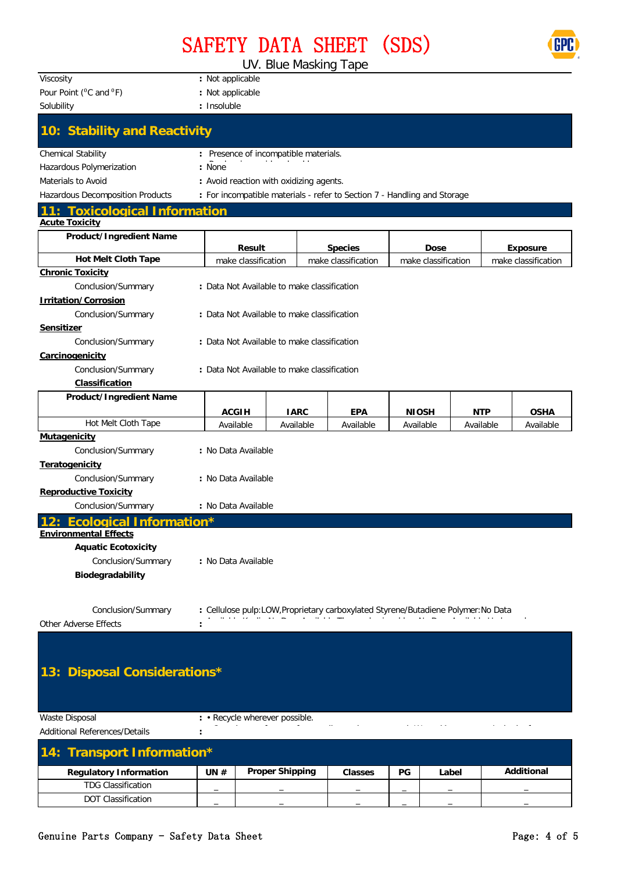# SAFETY DATA SHEET (SDS)

UV. Blue Masking Tape

| Viscosity                                                 | : Not applicable                                                                  |             |  |                     |                     |            |                     |
|-----------------------------------------------------------|-----------------------------------------------------------------------------------|-------------|--|---------------------|---------------------|------------|---------------------|
| Pour Point ( <sup>0</sup> C and <sup>0</sup> F)           | : Not applicable                                                                  |             |  |                     |                     |            |                     |
| Solubility                                                | : Insoluble                                                                       |             |  |                     |                     |            |                     |
| 10: Stability and Reactivity                              |                                                                                   |             |  |                     |                     |            |                     |
| <b>Chemical Stability</b>                                 | : Presence of incompatible materials.                                             |             |  |                     |                     |            |                     |
| Hazardous Polymerization                                  | : None                                                                            |             |  |                     |                     |            |                     |
| Materials to Avoid                                        | : Avoid reaction with oxidizing agents.                                           |             |  |                     |                     |            |                     |
| Hazardous Decomposition Products                          | : For incompatible materials - refer to Section 7 - Handling and Storage          |             |  |                     |                     |            |                     |
| <b>Toxicological Information</b><br><b>Acute Toxicity</b> |                                                                                   |             |  |                     |                     |            |                     |
| Product/Ingredient Name                                   | <b>Result</b>                                                                     |             |  | <b>Species</b>      | <b>Dose</b>         |            | <b>Exposure</b>     |
| <b>Hot Melt Cloth Tape</b>                                | make classification                                                               |             |  | make classification | make classification |            | make classification |
| <b>Chronic Toxicity</b>                                   |                                                                                   |             |  |                     |                     |            |                     |
| Conclusion/Summary                                        | : Data Not Available to make classification                                       |             |  |                     |                     |            |                     |
| <b>Irritation/Corrosion</b>                               |                                                                                   |             |  |                     |                     |            |                     |
| Conclusion/Summary                                        | : Data Not Available to make classification                                       |             |  |                     |                     |            |                     |
| Sensitizer                                                |                                                                                   |             |  |                     |                     |            |                     |
| Conclusion/Summary                                        | : Data Not Available to make classification                                       |             |  |                     |                     |            |                     |
| Carcinogenicity                                           |                                                                                   |             |  |                     |                     |            |                     |
| Conclusion/Summary                                        | : Data Not Available to make classification                                       |             |  |                     |                     |            |                     |
| Classification<br>Product/Ingredient Name                 |                                                                                   |             |  |                     |                     |            |                     |
|                                                           | <b>ACGIH</b>                                                                      | <b>IARC</b> |  | <b>EPA</b>          | <b>NIOSH</b>        | <b>NTP</b> | <b>OSHA</b>         |
| Hot Melt Cloth Tape                                       | Available                                                                         | Available   |  | Available           | Available           | Available  | Available           |
| Mutagenicity                                              |                                                                                   |             |  |                     |                     |            |                     |
| Conclusion/Summary                                        | : No Data Available                                                               |             |  |                     |                     |            |                     |
| <b>Teratogenicity</b>                                     |                                                                                   |             |  |                     |                     |            |                     |
| Conclusion/Summary                                        | : No Data Available                                                               |             |  |                     |                     |            |                     |
| <b>Reproductive Toxicity</b>                              |                                                                                   |             |  |                     |                     |            |                     |
| Conclusion/Summary                                        | : No Data Available                                                               |             |  |                     |                     |            |                     |
| <b>Ecological Information*</b>                            |                                                                                   |             |  |                     |                     |            |                     |
| <b>Environmental Effects</b>                              |                                                                                   |             |  |                     |                     |            |                     |
| <b>Aquatic Ecotoxicity</b>                                |                                                                                   |             |  |                     |                     |            |                     |
| Conclusion/Summary                                        | : No Data Available                                                               |             |  |                     |                     |            |                     |
| Biodegradability                                          |                                                                                   |             |  |                     |                     |            |                     |
|                                                           |                                                                                   |             |  |                     |                     |            |                     |
| Conclusion/Summary                                        | : Cellulose pulp:LOW, Proprietary carboxylated Styrene/Butadiene Polymer: No Data |             |  |                     |                     |            |                     |
| Other Adverse Effects                                     |                                                                                   |             |  |                     |                     |            |                     |
|                                                           |                                                                                   |             |  |                     |                     |            |                     |
|                                                           |                                                                                   |             |  |                     |                     |            |                     |
|                                                           |                                                                                   |             |  |                     |                     |            |                     |
| <b>Disposal Considerations*</b><br>13:                    |                                                                                   |             |  |                     |                     |            |                     |
|                                                           |                                                                                   |             |  |                     |                     |            |                     |
|                                                           |                                                                                   |             |  |                     |                     |            |                     |

Waste Disposal **:** Additional References/Details **:** • Recycle wherever possible. C l f f li i l W M A h i f

| 14: Transport Information*    |        |                        |                          |                          |       |                          |
|-------------------------------|--------|------------------------|--------------------------|--------------------------|-------|--------------------------|
| <b>Regulatory Information</b> | UN $#$ | <b>Proper Shipping</b> | <b>Classes</b>           | PG                       | Label | Additional               |
| <b>TDG Classification</b>     |        |                        | $\overline{\phantom{a}}$ | $\overline{\phantom{a}}$ | $-$   | $\overline{\phantom{a}}$ |
| <b>DOT Classification</b>     |        |                        |                          | -                        | -     | -                        |